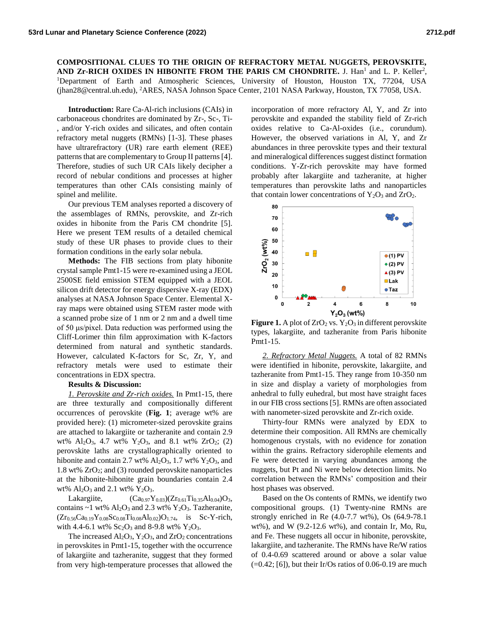## **COMPOSITIONAL CLUES TO THE ORIGIN OF REFRACTORY METAL NUGGETS, PEROVSKITE,**  AND  $Zr$ -RICH OXIDES IN HIBONITE FROM THE PARIS CM CHONDRITE. J. Han<sup>1</sup> and L. P. Keller<sup>2</sup>, <sup>1</sup>Department of Earth and Atmospheric Sciences, University of Houston, Houston TX, 77204, USA (jhan28@central.uh.edu), <sup>2</sup>ARES, NASA Johnson Space Center, 2101 NASA Parkway, Houston, TX 77058, USA.

**Introduction:** Rare Ca-Al-rich inclusions (CAIs) in carbonaceous chondrites are dominated by Zr-, Sc-, Ti- , and/or Y-rich oxides and silicates, and often contain refractory metal nuggets (RMNs) [1-3]. These phases have ultrarefractory (UR) rare earth element (REE) patterns that are complementary to Group II patterns [4]. Therefore, studies of such UR CAIs likely decipher a record of nebular conditions and processes at higher temperatures than other CAIs consisting mainly of spinel and melilite.

Our previous TEM analyses reported a discovery of the assemblages of RMNs, perovskite, and Zr-rich oxides in hibonite from the Paris CM chondrite [5]. Here we present TEM results of a detailed chemical study of these UR phases to provide clues to their formation conditions in the early solar nebula.

**Methods:** The FIB sections from platy hibonite crystal sample Pmt1-15 were re-examined using a JEOL 2500SE field emission STEM equipped with a JEOL silicon drift detector for energy dispersive X-ray (EDX) analyses at NASA Johnson Space Center. Elemental Xray maps were obtained using STEM raster mode with a scanned probe size of 1 nm or 2 nm and a dwell time of 50 μs/pixel. Data reduction was performed using the Cliff-Lorimer thin film approximation with K-factors determined from natural and synthetic standards. However, calculated K-factors for Sc, Zr, Y, and refractory metals were used to estimate their concentrations in EDX spectra.

## **Results & Discussion:**

*1. Perovskite and Zr-rich oxides.* In Pmt1-15, there are three texturally and compositionally different occurrences of perovskite (**Fig. 1**; average wt% are provided here): (1) micrometer-sized perovskite grains are attached to lakargiite or tazheranite and contain 2.9 wt%  $Al_2O_3$ , 4.7 wt%  $Y_2O_3$ , and 8.1 wt%  $ZrO_2$ ; (2) perovskite laths are crystallographically oriented to hibonite and contain 2.7 wt%  $Al_2O_3$ , 1.7 wt%  $Y_2O_3$ , and 1.8 wt% ZrO2; and (3) rounded perovskite nanoparticles at the hibonite-hibonite grain boundaries contain 2.4 wt%  $Al_2O_3$  and 2.1 wt%  $Y_2O_3$ .

Lakargiite,  $(Ca_{0.97}Y_{0.03})(Zr_{0.61}Ti_{0.35}Al_{0.04})O_3$ contains  $\sim$ 1 wt% Al<sub>2</sub>O<sub>3</sub> and 2.3 wt% Y<sub>2</sub>O<sub>3</sub>. Tazheranite,  $(Zr_{0.56}Ca<sub>0.19</sub>Y<sub>0.08</sub>Sc<sub>0.08</sub>Ti<sub>0.08</sub>Al<sub>0.02</sub>)O<sub>1.74</sub>$ , is Sc-Y-rich, with 4.4-6.1 wt%  $Sc_2O_3$  and 8-9.8 wt%  $Y_2O_3$ .

The increased  $Al_2O_3$ ,  $Y_2O_3$ , and  $ZrO_2$  concentrations in perovskites in Pmt1-15, together with the occurrence of lakargiite and tazheranite, suggest that they formed from very high-temperature processes that allowed the incorporation of more refractory Al, Y, and Zr into perovskite and expanded the stability field of Zr-rich oxides relative to Ca-Al-oxides (i.e., corundum). However, the observed variations in Al, Y, and Zr abundances in three perovskite types and their textural and mineralogical differences suggest distinct formation conditions. Y-Zr-rich perovskite may have formed probably after lakargiite and tazheranite, at higher temperatures than perovskite laths and nanoparticles that contain lower concentrations of  $Y_2O_3$  and  $ZrO_2$ .



**Figure 1.** A plot of  $ZrO_2$  vs.  $Y_2O_3$  in different perovskite types, lakargiite, and tazheranite from Paris hibonite Pmt1-15.

*2. Refractory Metal Nuggets.* A total of 82 RMNs were identified in hibonite, perovskite, lakargiite, and tazheranite from Pmt1-15. They range from 10-350 nm in size and display a variety of morphologies from anhedral to fully euhedral, but most have straight faces in our FIB cross sections [5]. RMNs are often associated with nanometer-sized perovskite and Zr-rich oxide.

Thirty-four RMNs were analyzed by EDX to determine their composition. All RMNs are chemically homogenous crystals, with no evidence for zonation within the grains. Refractory siderophile elements and Fe were detected in varying abundances among the nuggets, but Pt and Ni were below detection limits. No correlation between the RMNs' composition and their host phases was observed.

Based on the Os contents of RMNs, we identify two compositional groups. (1) Twenty-nine RMNs are strongly enriched in Re (4.0-7.7 wt%), Os (64.9-78.1 wt%), and W (9.2-12.6 wt%), and contain Ir, Mo, Ru, and Fe. These nuggets all occur in hibonite, perovskite, lakargiite, and tazheranite. The RMNs have Re/W ratios of 0.4-0.69 scattered around or above a solar value  $(=0.42; [6])$ , but their Ir/Os ratios of 0.06-0.19 are much